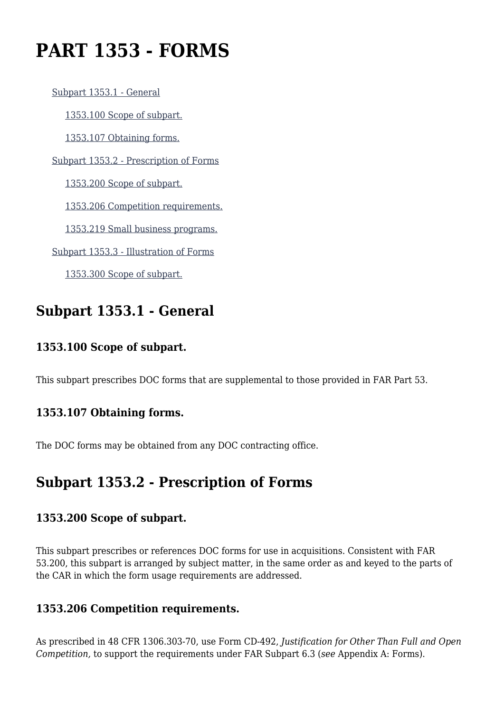# **PART 1353 - FORMS**

 [Subpart 1353.1 - General](https://login.acquisition.gov/%5Brp:link:car-part-1353%5D#Subpart_1353_1_T48_50650461) [1353.100 Scope of subpart.](https://login.acquisition.gov/%5Brp:link:car-part-1353%5D#Section_1353_100_T48_5065046111) [1353.107 Obtaining forms.](https://login.acquisition.gov/%5Brp:link:car-part-1353%5D#Section_1353_107_T48_5065046112) [Subpart 1353.2 - Prescription of Forms](https://login.acquisition.gov/%5Brp:link:car-part-1353%5D#Subpart_1353_2_T48_50650462) [1353.200 Scope of subpart.](https://login.acquisition.gov/%5Brp:link:car-part-1353%5D#Section_1353_200_T48_5065046211) [1353.206 Competition requirements.](https://login.acquisition.gov/%5Brp:link:car-part-1353%5D#Section_1353_206_T48_5065046212) [1353.219 Small business programs.](https://login.acquisition.gov/%5Brp:link:car-part-1353%5D#Section_1353_219_T48_5065046213) [Subpart 1353.3 - Illustration of Forms](https://login.acquisition.gov/%5Brp:link:car-part-1353%5D#Subpart_1353_3_T48_50650463) [1353.300 Scope of subpart.](https://login.acquisition.gov/%5Brp:link:car-part-1353%5D#Section_1353_300_T48_5065046311)

### **Subpart 1353.1 - General**

#### **1353.100 Scope of subpart.**

This subpart prescribes DOC forms that are supplemental to those provided in FAR Part 53.

#### **1353.107 Obtaining forms.**

The DOC forms may be obtained from any DOC contracting office.

### **Subpart 1353.2 - Prescription of Forms**

#### **1353.200 Scope of subpart.**

This subpart prescribes or references DOC forms for use in acquisitions. Consistent with FAR 53.200, this subpart is arranged by subject matter, in the same order as and keyed to the parts of the CAR in which the form usage requirements are addressed.

#### **1353.206 Competition requirements.**

As prescribed in 48 CFR 1306.303-70, use Form CD-492, *Justification for Other Than Full and Open Competition,* to support the requirements under FAR Subpart 6.3 (*see* Appendix A: Forms).